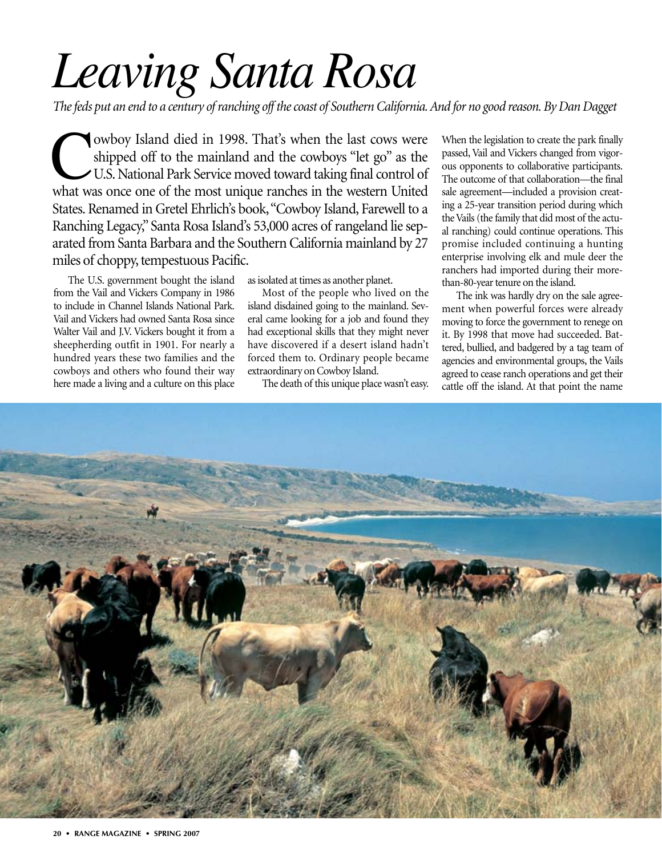## *Leaving Santa Rosa*

*The feds put an end to a century of ranching off the coast of Southern California. And for no good reason. By Dan Dagget*

That's when the last cows were<br>shipped off to the mainland and the cowboys "let go" as the<br>U.S. National Park Service moved toward taking final control of<br>what was once one of the most unique ranches in the western United shipped off to the mainland and the cowboys "let go" as the U.S. National Park Service moved toward taking final control of what was once one of the most unique ranches in the western United States. Renamed in Gretel Ehrlich's book,"Cowboy Island, Farewell to a Ranching Legacy," Santa Rosa Island's 53,000 acres of rangeland lie separated from Santa Barbara and the Southern California mainland by 27 miles of choppy, tempestuous Pacific.

The U.S. government bought the island from the Vail and Vickers Company in 1986 to include in Channel Islands National Park. Vail and Vickers had owned Santa Rosa since Walter Vail and J.V. Vickers bought it from a sheepherding outfit in 1901. For nearly a hundred years these two families and the cowboys and others who found their way here made a living and a culture on this place

as isolated at times as another planet.

Most of the people who lived on the island disdained going to the mainland. Several came looking for a job and found they had exceptional skills that they might never have discovered if a desert island hadn't forced them to. Ordinary people became extraordinary on Cowboy Island.

The death of this unique place wasn't easy.

When the legislation to create the park finally passed, Vail and Vickers changed from vigorous opponents to collaborative participants. The outcome of that collaboration—the final sale agreement—included a provision creating a 25-year transition period during which the Vails (the family that did most of the actual ranching) could continue operations. This promise included continuing a hunting enterprise involving elk and mule deer the ranchers had imported during their morethan-80-year tenure on the island.

The ink was hardly dry on the sale agreement when powerful forces were already moving to force the government to renege on it. By 1998 that move had succeeded. Battered, bullied, and badgered by a tag team of agencies and environmental groups, the Vails agreed to cease ranch operations and get their cattle off the island. At that point the name

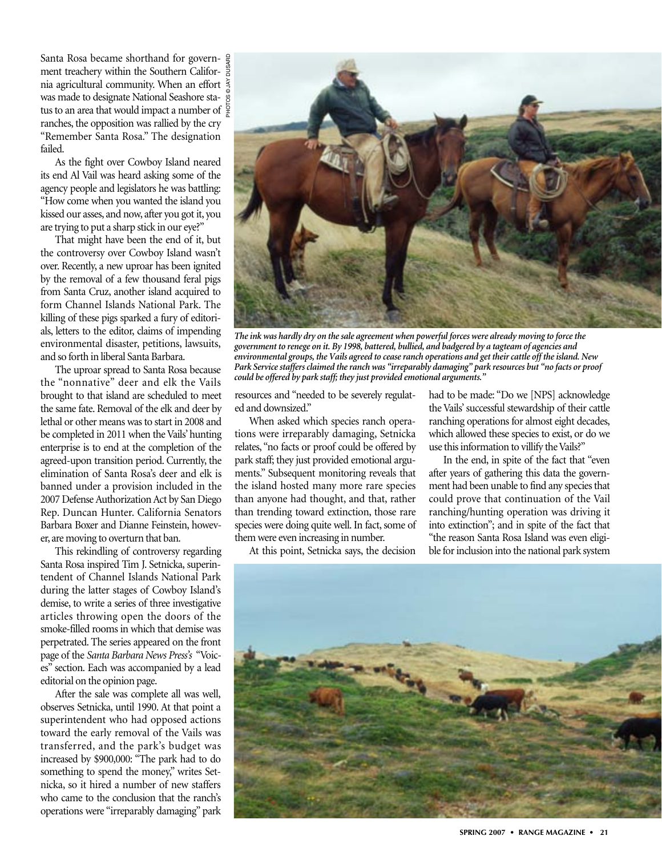Santa Rosa became shorthand for government treachery within the Southern California agricultural community. When an effort  $\frac{2}{3}$ was made to designate National Seashore status to an area that would impact a number of  $\frac{5}{4}$ ranches, the opposition was rallied by the cry "Remember Santa Rosa." The designation failed.

As the fight over Cowboy Island neared its end Al Vail was heard asking some of the agency people and legislators he was battling: "How come when you wanted the island you kissed our asses, and now, after you got it, you are trying to put a sharp stick in our eye?"

That might have been the end of it, but the controversy over Cowboy Island wasn't over. Recently, a new uproar has been ignited by the removal of a few thousand feral pigs from Santa Cruz, another island acquired to form Channel Islands National Park. The killing of these pigs sparked a fury of editorials, letters to the editor, claims of impending environmental disaster, petitions, lawsuits, and so forth in liberal Santa Barbara.

The uproar spread to Santa Rosa because the "nonnative" deer and elk the Vails brought to that island are scheduled to meet the same fate. Removal of the elk and deer by lethal or other means was to start in 2008 and be completed in 2011 when the Vails' hunting enterprise is to end at the completion of the agreed-upon transition period. Currently, the elimination of Santa Rosa's deer and elk is banned under a provision included in the 2007 Defense Authorization Act by San Diego Rep. Duncan Hunter. California Senators Barbara Boxer and Dianne Feinstein, however, are moving to overturn that ban.

This rekindling of controversy regarding Santa Rosa inspired Tim J. Setnicka, superintendent of Channel Islands National Park during the latter stages of Cowboy Island's demise, to write a series of three investigative articles throwing open the doors of the smoke-filled rooms in which that demise was perpetrated. The series appeared on the front page of the *Santa Barbara News Press's* "Voices" section. Each was accompanied by a lead editorial on the opinion page.

After the sale was complete all was well, observes Setnicka, until 1990. At that point a superintendent who had opposed actions toward the early removal of the Vails was transferred, and the park's budget was increased by \$900,000: "The park had to do something to spend the money," writes Setnicka, so it hired a number of new staffers who came to the conclusion that the ranch's operations were "irreparably damaging" park



*The ink was hardly dry on the sale agreement when powerful forces were already moving to force the government to renege on it. By 1998, battered, bullied, and badgered by a tagteam of agencies and environmental groups, the Vails agreed to cease ranch operations and get their cattle off the island. New Park Service staffers claimed the ranch was "irreparably damaging" park resources but "no facts or proof could be offered by park staff; they just provided emotional arguments."*

resources and "needed to be severely regulated and downsized."

When asked which species ranch operations were irreparably damaging, Setnicka relates, "no facts or proof could be offered by park staff; they just provided emotional arguments." Subsequent monitoring reveals that the island hosted many more rare species than anyone had thought, and that, rather than trending toward extinction, those rare species were doing quite well. In fact, some of them were even increasing in number.

At this point, Setnicka says, the decision

had to be made: "Do we [NPS] acknowledge the Vails' successful stewardship of their cattle ranching operations for almost eight decades, which allowed these species to exist, or do we use this information to villify the Vails?"

In the end, in spite of the fact that "even after years of gathering this data the government had been unable to find any species that could prove that continuation of the Vail ranching/hunting operation was driving it into extinction"; and in spite of the fact that "the reason Santa Rosa Island was even eligible for inclusion into the national park system

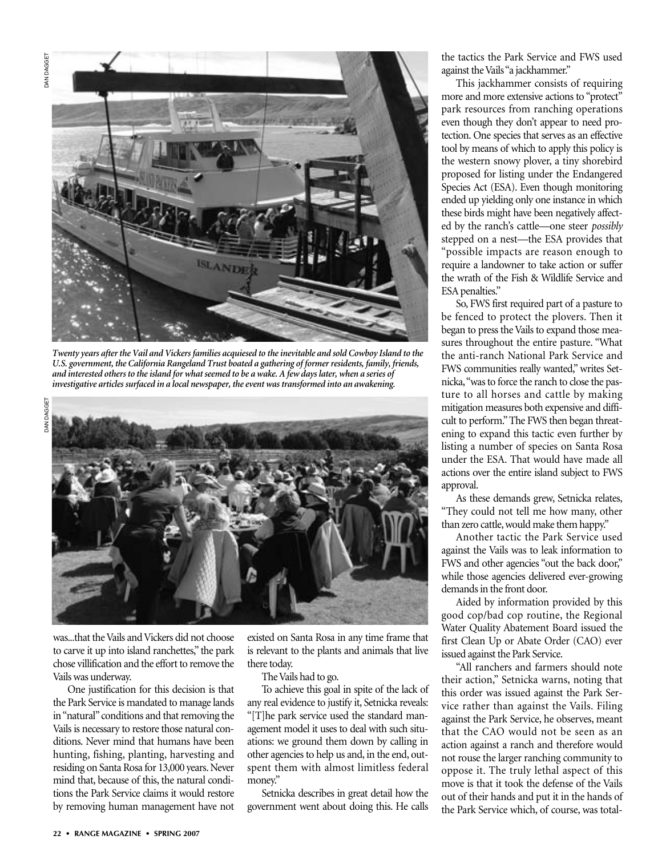

*Twenty years after the Vail and Vickers families acquiesed to the inevitable and sold Cowboy Island to the U.S. government, the California Rangeland Trust boated a gathering of former residents, family, friends, and interested others to the island for what seemed to be a wake. A few days later, when a series of investigative articles surfaced in a local newspaper, the event was transformed into an awakening.*



was...that the Vails and Vickers did not choose to carve it up into island ranchettes," the park chose villification and the effort to remove the Vails was underway.

One justification for this decision is that the Park Service is mandated to manage lands in "natural" conditions and that removing the Vails is necessary to restore those natural conditions. Never mind that humans have been hunting, fishing, planting, harvesting and residing on Santa Rosa for 13,000 years. Never mind that, because of this, the natural conditions the Park Service claims it would restore by removing human management have not

existed on Santa Rosa in any time frame that is relevant to the plants and animals that live there today.

The Vails had to go.

To achieve this goal in spite of the lack of any real evidence to justify it, Setnicka reveals: "[T]he park service used the standard management model it uses to deal with such situations: we ground them down by calling in other agencies to help us and, in the end, outspent them with almost limitless federal money."

Setnicka describes in great detail how the government went about doing this. He calls

the tactics the Park Service and FWS used against the Vails "a jackhammer."

This jackhammer consists of requiring more and more extensive actions to "protect" park resources from ranching operations even though they don't appear to need protection. One species that serves as an effective tool by means of which to apply this policy is the western snowy plover, a tiny shorebird proposed for listing under the Endangered Species Act (ESA). Even though monitoring ended up yielding only one instance in which these birds might have been negatively affected by the ranch's cattle—one steer *possibly* stepped on a nest—the ESA provides that "possible impacts are reason enough to require a landowner to take action or suffer the wrath of the Fish & Wildlife Service and ESA penalties."

So, FWS first required part of a pasture to be fenced to protect the plovers. Then it began to press the Vails to expand those measures throughout the entire pasture. "What the anti-ranch National Park Service and FWS communities really wanted," writes Setnicka,"was to force the ranch to close the pasture to all horses and cattle by making mitigation measures both expensive and difficult to perform." The FWS then began threatening to expand this tactic even further by listing a number of species on Santa Rosa under the ESA. That would have made all actions over the entire island subject to FWS approval.

As these demands grew, Setnicka relates, "They could not tell me how many, other than zero cattle, would make them happy."

Another tactic the Park Service used against the Vails was to leak information to FWS and other agencies "out the back door," while those agencies delivered ever-growing demands in the front door.

Aided by information provided by this good cop/bad cop routine, the Regional Water Quality Abatement Board issued the first Clean Up or Abate Order (CAO) ever issued against the Park Service.

"All ranchers and farmers should note their action," Setnicka warns, noting that this order was issued against the Park Service rather than against the Vails. Filing against the Park Service, he observes, meant that the CAO would not be seen as an action against a ranch and therefore would not rouse the larger ranching community to oppose it. The truly lethal aspect of this move is that it took the defense of the Vails out of their hands and put it in the hands of the Park Service which, of course, was total-